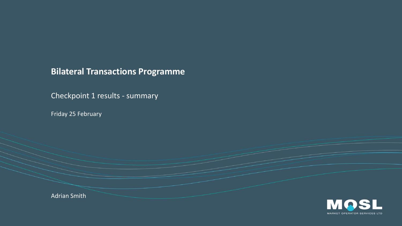# **Bilateral Transactions Programme**

Checkpoint 1 results - summary

Friday 25 February



Adrian Smith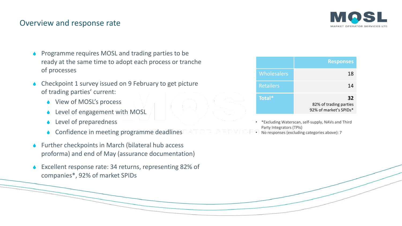

## Overview and response rate

- Programme requires MOSL and trading parties to be ready at the same time to adopt each process or tranche of processes
- Checkpoint 1 survey issued on 9 February to get picture of trading parties' current:
	- ◆ View of MOSL's process
	- ◆ Level of engagement with MOSL
	- Level of preparedness
	- Confidence in meeting programme deadlines
- ◆ Further checkpoints in March (bilateral hub access proforma) and end of May (assurance documentation)
- Excellent response rate: 34 returns, representing 82% of companies\*, 92% of market SPIDs

|                    | <b>Responses</b>                                       |
|--------------------|--------------------------------------------------------|
| <b>Wholesalers</b> | 18                                                     |
| <b>Retailers</b>   | 14                                                     |
| Total*             | 32<br>82% of trading parties<br>92% of market's SPIDs* |

- \*Excluding Waterscan, self-supply, NAVs and Third Party Integrators (TPIs)
- No responses (excluding categories above): 7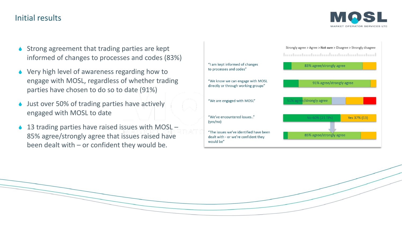## Initial results



- ◆ Strong agreement that trading parties are kept informed of changes to processes and codes (83%)
- ◆ Very high level of awareness regarding how to engage with MOSL, regardless of whether trading parties have chosen to do so to date (91%)
- ◆ Just over 50% of trading parties have actively engaged with MOSL to date
- $\triangle$  13 trading parties have raised issues with MOSL 85% agree/strongly agree that issues raised have been dealt with – or confident they would be.

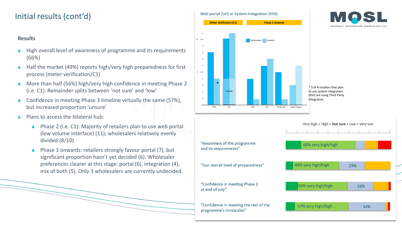# Initial results (cont'd)

### **Results**

- High overall level of awareness of programme and its requirements (66%)
- Half the market (49%) reports high/very high preparedness for first process (meter verification/C1)
- More than half (56%) high/very high confidence in meeting Phase 2 (i.e. C1). Remainder splits between 'not sure' and 'low'
- Confidence in meeting Phase 3 timeline virtually the same (57%), but increased proportion 'unsure'
- Plans to access the bilateral hub:
	- Phase 2 (i.e. C1): Majority of retailers plan to use web portal (low volume interface) (11); wholesalers relatively evenly divided (8/10)
	- Phase 3 onwards: retailers strongly favour portal (7), but significant proportion hasn't yet decided (6). Wholesaler preferences clearer at this stage: portal (6), integration (4), mix of both (5). Only 3 wholesalers are currently undecided.





Web portal (LVI) or System Integration (HVI)

\* 3 of 4 retailers that plan to use system integration (HVI) are using Third Party Integrators

#### Very high > High > Not sure > Low > Very low

"Awareness of the programme 66% very high/high and its requirements" "Our overall level of preparedness" 49% very high/high 23% "Confidence in meeting Phase 2 56% very high/high 26% at end of July" "Confidence in meeting the rest of the 57% very high/high 34% programme's timescales"